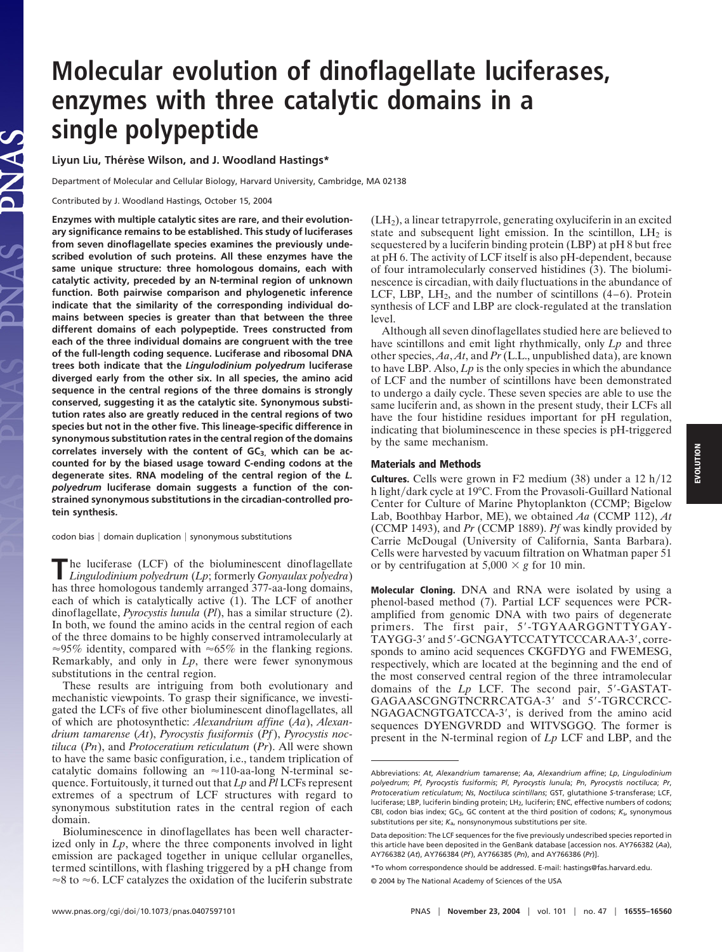## **Molecular evolution of dinoflagellate luciferases, enzymes with three catalytic domains in a single polypeptide**

Liyun Liu, Thérèse Wilson, and J. Woodland Hastings\*

Department of Molecular and Cellular Biology, Harvard University, Cambridge, MA 02138

Contributed by J. Woodland Hastings, October 15, 2004

**Enzymes with multiple catalytic sites are rare, and their evolutionary significance remains to be established. This study of luciferases from seven dinoflagellate species examines the previously undescribed evolution of such proteins. All these enzymes have the same unique structure: three homologous domains, each with catalytic activity, preceded by an N-terminal region of unknown function. Both pairwise comparison and phylogenetic inference indicate that the similarity of the corresponding individual domains between species is greater than that between the three different domains of each polypeptide. Trees constructed from each of the three individual domains are congruent with the tree of the full-length coding sequence. Luciferase and ribosomal DNA trees both indicate that the** *Lingulodinium polyedrum* **luciferase diverged early from the other six. In all species, the amino acid sequence in the central regions of the three domains is strongly conserved, suggesting it as the catalytic site. Synonymous substitution rates also are greatly reduced in the central regions of two species but not in the other five. This lineage-specific difference in synonymous substitution rates in the central region of the domains** correlates inversely with the content of GC<sub>3,</sub> which can be ac**counted for by the biased usage toward C-ending codons at the degenerate sites. RNA modeling of the central region of the** *L. polyedrum* **luciferase domain suggests a function of the constrained synonymous substitutions in the circadian-controlled protein synthesis.**

 $codon bias | domain duplication | synonymous substitutions$ 

**T**he luciferase (LCF) of the bioluminescent dinoflagellate *Lingulodinium polyedrum* (*Lp*; formerly *Gonyaulax polyedra*) has three homologous tandemly arranged 377-aa-long domains, each of which is catalytically active (1). The LCF of another dinoflagellate, *Pyrocystis lunula* (*Pl*), has a similar structure (2). In both, we found the amino acids in the central region of each of the three domains to be highly conserved intramolecularly at  $\approx$ 95% identity, compared with  $\approx$ 65% in the flanking regions. Remarkably, and only in *Lp*, there were fewer synonymous substitutions in the central region.

These results are intriguing from both evolutionary and mechanistic viewpoints. To grasp their significance, we investigated the LCFs of five other bioluminescent dinoflagellates, all of which are photosynthetic: *Alexandrium affine* (*Aa*), *Alexandrium tamarense* (*At*), *Pyrocystis fusiformis* (*Pf*), *Pyrocystis noctiluca* (*Pn*), and *Protoceratium reticulatum* (*Pr*). All were shown to have the same basic configuration, i.e., tandem triplication of catalytic domains following an  $\approx$ 110-aa-long N-terminal sequence. Fortuitously, it turned out that *Lp* and *Pl* LCFs represent extremes of a spectrum of LCF structures with regard to synonymous substitution rates in the central region of each domain.

Bioluminescence in dinoflagellates has been well characterized only in *Lp*, where the three components involved in light emission are packaged together in unique cellular organelles, termed scintillons, with flashing triggered by a pH change from  $\approx$ 8 to  $\approx$ 6. LCF catalyzes the oxidation of the luciferin substrate

(LH2), a linear tetrapyrrole, generating oxyluciferin in an excited state and subsequent light emission. In the scintillon,  $LH_2$  is sequestered by a luciferin binding protein (LBP) at pH 8 but free at pH 6. The activity of LCF itself is also pH-dependent, because of four intramolecularly conserved histidines (3). The bioluminescence is circadian, with daily fluctuations in the abundance of LCF, LBP, LH<sub>2</sub>, and the number of scintillons  $(4-6)$ . Protein synthesis of LCF and LBP are clock-regulated at the translation level.

Although all seven dinoflagellates studied here are believed to have scintillons and emit light rhythmically, only *Lp* and three other species, *Aa*, *At*, and *Pr* (L.L., unpublished data), are known to have LBP. Also, *Lp* is the only species in which the abundance of LCF and the number of scintillons have been demonstrated to undergo a daily cycle. These seven species are able to use the same luciferin and, as shown in the present study, their LCFs all have the four histidine residues important for pH regulation, indicating that bioluminescence in these species is pH-triggered by the same mechanism.

## **Materials and Methods**

**Cultures.** Cells were grown in  $F2$  medium  $(38)$  under a  $12 h/12$ h light/dark cycle at 19°C. From the Provasoli-Guillard National Center for Culture of Marine Phytoplankton (CCMP; Bigelow Lab, Boothbay Harbor, ME), we obtained *Aa* (CCMP 112), *At* (CCMP 1493), and *Pr* (CCMP 1889). *Pf* was kindly provided by Carrie McDougal (University of California, Santa Barbara). Cells were harvested by vacuum filtration on Whatman paper 51 or by centrifugation at  $5,000 \times g$  for 10 min.

**Molecular Cloning.** DNA and RNA were isolated by using a phenol-based method (7). Partial LCF sequences were PCRamplified from genomic DNA with two pairs of degenerate primers. The first pair, 5'-TGYAARGGNTTYGAY-TAYGG-3' and 5'-GCNGAYTCCATYTCCCARAA-3', corresponds to amino acid sequences CKGFDYG and FWEMESG, respectively, which are located at the beginning and the end of the most conserved central region of the three intramolecular domains of the *Lp* LCF. The second pair, 5-GASTAT-GAGAASCGNGTNCRRCATGA-3' and 5'-TGRCCRCC-NGAGACNGTGATCCA-3', is derived from the amino acid sequences DYENGVRDD and WITVSGGQ. The former is present in the N-terminal region of *Lp* LCF and LBP, and the

**EVOLUTION**EVOLUTION

Abbreviations: *At*, *Alexandrium tamarense*; *Aa*, *Alexandrium affine*; *Lp*, *Lingulodinium polyedrum*; *Pf*, *Pyrocystis fusiformis*; *Pl*, *Pyrocystis lunul*a; *Pn*, *Pyrocystis noctiluca*; *Pr*, *Protoceratium reticulatum*; *Ns*, *Noctiluca scintillans*; GST, glutathione *S*-transferase; LCF, luciferase; LBP, luciferin binding protein; LH<sub>2</sub>, luciferin; ENC, effective numbers of codons; CBI, codon bias index; GC3, GC content at the third position of codons; *K*s, synonymous substitutions per site; *K*a, nonsynonymous substitutions per site.

Data deposition: The LCF sequences for the five previously undescribed species reported in this article have been deposited in the GenBank database [accession nos. AY766382 (*Aa*), AY766382 (*At*), AY766384 (*Pf*), AY766385 (*Pn*), and AY766386 (*Pr*)].

<sup>\*</sup>To whom correspondence should be addressed. E-mail: hastings@fas.harvard.edu.

<sup>© 2004</sup> by The National Academy of Sciences of the USA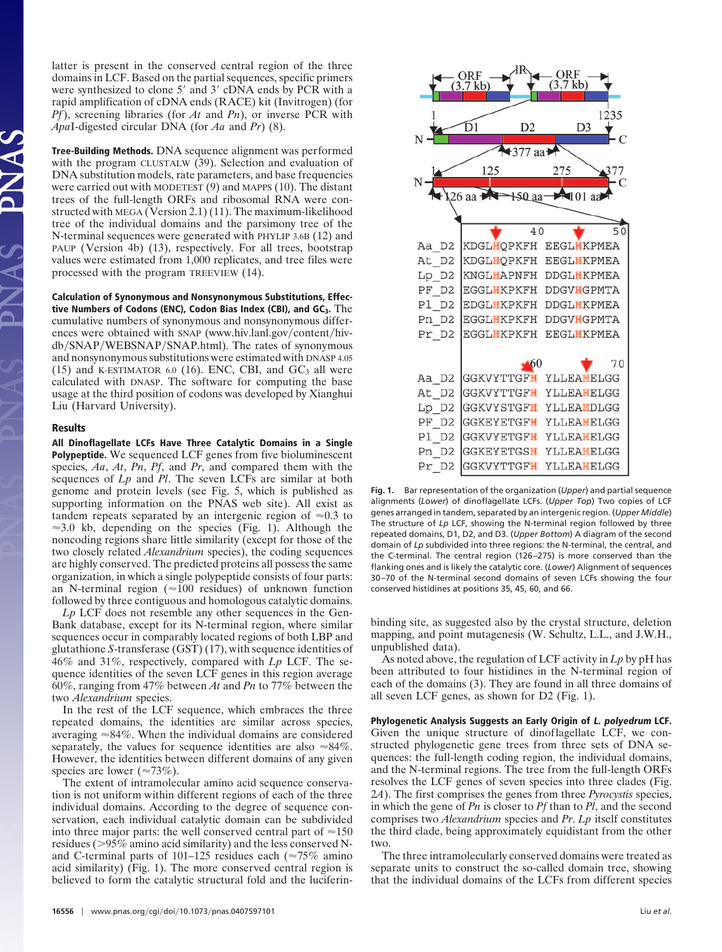latter is present in the conserved central region of the three domains in LCF. Based on the partial sequences, specific primers were synthesized to clone 5' and 3' cDNA ends by PCR with a rapid amplification of cDNA ends (RACE) kit (Invitrogen) (for *Pf*), screening libraries (for *At* and *Pn*), or inverse PCR with *Apa*I-digested circular DNA (for *Aa* and *Pr*) (8).

**Tree-Building Methods.** DNA sequence alignment was performed with the program CLUSTALW (39). Selection and evaluation of DNA substitution models, rate parameters, and base frequencies were carried out with MODETEST (9) and MAPPS (10). The distant trees of the full-length ORFs and ribosomal RNA were constructed with MEGA (Version 2.1) (11). The maximum-likelihood tree of the individual domains and the parsimony tree of the N-terminal sequences were generated with PHYLIP 3.6B (12) and PAUP (Version 4b) (13), respectively. For all trees, bootstrap values were estimated from 1,000 replicates, and tree files were processed with the program TREEVIEW (14).

**Calculation of Synonymous and Nonsynonymous Substitutions, Effective Numbers of Codons (ENC), Codon Bias Index (CBI), and GC3.** The cumulative numbers of synonymous and nonsynonymous differences were obtained with SNAP (www.hiv.lanl.gov/content/hivdb/SNAP/WEBSNAP/SNAP.html). The rates of synonymous and nonsynonymous substitutions were estimated with DNASP 4.05 (15) and K-ESTIMATOR 6.0 (16). ENC, CBI, and  $GC<sub>3</sub>$  all were calculated with DNASP. The software for computing the base usage at the third position of codons was developed by Xianghui Liu (Harvard University).

## **Results**

**All Dinoflagellate LCFs Have Three Catalytic Domains in a Single Polypeptide.** We sequenced LCF genes from five bioluminescent species, *Aa*, *At*, *Pn*, *Pf*, and *Pr*, and compared them with the sequences of *Lp* and *Pl*. The seven LCFs are similar at both genome and protein levels (see Fig. 5, which is published as supporting information on the PNAS web site). All exist as tandem repeats separated by an intergenic region of  $\approx 0.3$  to  $\approx$ 3.0 kb, depending on the species (Fig. 1). Although the noncoding regions share little similarity (except for those of the two closely related *Alexandrium* species), the coding sequences are highly conserved. The predicted proteins all possess the same organization, in which a single polypeptide consists of four parts: an N-terminal region ( $\approx$ 100 residues) of unknown function followed by three contiguous and homologous catalytic domains.

*Lp* LCF does not resemble any other sequences in the Gen-Bank database, except for its N-terminal region, where similar sequences occur in comparably located regions of both LBP and glutathione *S*-transferase (GST) (17), with sequence identities of 46% and 31%, respectively, compared with *Lp* LCF. The sequence identities of the seven LCF genes in this region average 60%, ranging from 47% between *At* and *Pn* to 77% between the two *Alexandrium* species.

In the rest of the LCF sequence, which embraces the three repeated domains, the identities are similar across species, averaging  $\approx 84\%$ . When the individual domains are considered separately, the values for sequence identities are also  $\approx 84\%$ . However, the identities between different domains of any given species are lower ( $\approx 73\%$ ).

The extent of intramolecular amino acid sequence conservation is not uniform within different regions of each of the three individual domains. According to the degree of sequence conservation, each individual catalytic domain can be subdivided into three major parts: the well conserved central part of  $\approx 150$ residues (>95% amino acid similarity) and the less conserved Nand C-terminal parts of 101–125 residues each ( $\approx$ 75% amino acid similarity) (Fig. 1). The more conserved central region is believed to form the catalytic structural fold and the luciferin-



**Fig. 1.** Bar representation of the organization (*Upper*) and partial sequence alignments (*Lower*) of dinoflagellate LCFs. (*Upper Top*) Two copies of LCF genes arranged in tandem, separated by an intergenic region. (*Upper Middle*) The structure of *Lp* LCF, showing the N-terminal region followed by three repeated domains, D1, D2, and D3. (*Upper Bottom*) A diagram of the second domain of *Lp* subdivided into three regions: the N-terminal, the central, and the C-terminal. The central region (126 –275) is more conserved than the flanking ones and is likely the catalytic core. (*Lower*) Alignment of sequences 30 –70 of the N-terminal second domains of seven LCFs showing the four conserved histidines at positions 35, 45, 60, and 66.

binding site, as suggested also by the crystal structure, deletion mapping, and point mutagenesis (W. Schultz, L.L., and J.W.H., unpublished data).

As noted above, the regulation of LCF activity in *Lp* by pH has been attributed to four histidines in the N-terminal region of each of the domains (3). They are found in all three domains of all seven LCF genes, as shown for D2 (Fig. 1).

**Phylogenetic Analysis Suggests an Early Origin of L. polyedrum LCF.** Given the unique structure of dinoflagellate LCF, we constructed phylogenetic gene trees from three sets of DNA sequences: the full-length coding region, the individual domains, and the N-terminal regions. The tree from the full-length ORFs resolves the LCF genes of seven species into three clades (Fig. 2*A*). The first comprises the genes from three *Pyrocystis* species, in which the gene of *Pn* is closer to *Pf* than to *Pl*, and the second comprises two *Alexandrium* species and *Pr*. *Lp* itself constitutes the third clade, being approximately equidistant from the other two.

The three intramolecularly conserved domains were treated as separate units to construct the so-called domain tree, showing that the individual domains of the LCFs from different species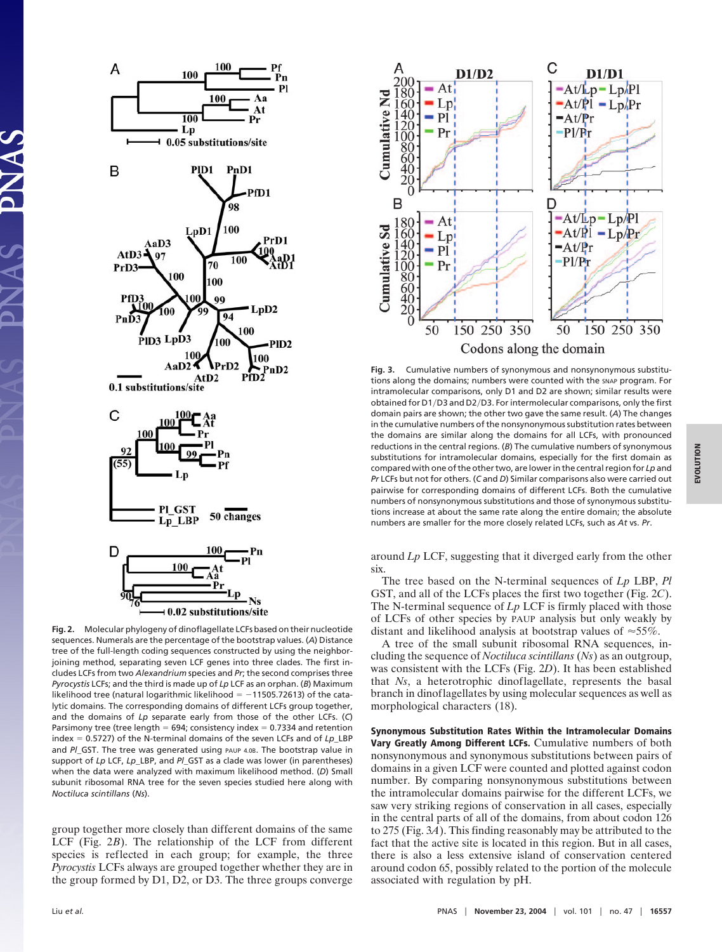

**Fig. 2.** Molecular phylogeny of dinoflagellate LCFs based on their nucleotide sequences. Numerals are the percentage of the bootstrap values. (*A*) Distance tree of the full-length coding sequences constructed by using the neighborjoining method, separating seven LCF genes into three clades. The first includes LCFs from two *Alexandrium* species and *Pr*; the second comprises three *Pyrocystis* LCFs; and the third is made up of *Lp* LCF as an orphan. (*B*) Maximum likelihood tree (natural logarithmic likelihood =  $-11505.72613$ ) of the catalytic domains. The corresponding domains of different LCFs group together, and the domains of *Lp* separate early from those of the other LCFs. (*C*) Parsimony tree (tree length  $= 694$ ; consistency index  $= 0.7334$  and retention index 0.5727) of the N-terminal domains of the seven LCFs and of *Lp*\_LBP and *PI* GST. The tree was generated using PAUP 4.0B. The bootstrap value in support of *Lp* LCF, *Lp*\_LBP, and *Pl*\_GST as a clade was lower (in parentheses) when the data were analyzed with maximum likelihood method. (*D*) Small subunit ribosomal RNA tree for the seven species studied here along with *Noctiluca scintillans* (*Ns*).

group together more closely than different domains of the same LCF (Fig. 2*B*). The relationship of the LCF from different species is reflected in each group; for example, the three *Pyrocystis* LCFs always are grouped together whether they are in the group formed by D1, D2, or D3. The three groups converge



**Fig. 3.** Cumulative numbers of synonymous and nonsynonymous substitutions along the domains; numbers were counted with the SNAP program. For intramolecular comparisons, only D1 and D2 are shown; similar results were obtained for D1/D3 and D2/D3. For intermolecular comparisons, only the first domain pairs are shown; the other two gave the same result. (*A*) The changes in the cumulative numbers of the nonsynonymous substitution rates between the domains are similar along the domains for all LCFs, with pronounced reductions in the central regions. (*B*) The cumulative numbers of synonymous substitutions for intramolecular domains, especially for the first domain as compared with one of the other two, are lower in the central region for *Lp* and *Pr* LCFs but not for others. (*C* and *D*) Similar comparisons also were carried out pairwise for corresponding domains of different LCFs. Both the cumulative numbers of nonsynonymous substitutions and those of synonymous substitutions increase at about the same rate along the entire domain; the absolute numbers are smaller for the more closely related LCFs, such as *At* vs. *Pr*.

around *Lp* LCF, suggesting that it diverged early from the other six.

The tree based on the N-terminal sequences of *Lp* LBP, *Pl* GST, and all of the LCFs places the first two together (Fig. 2*C*). The N-terminal sequence of *Lp* LCF is firmly placed with those of LCFs of other species by PAUP analysis but only weakly by distant and likelihood analysis at bootstrap values of  $\approx 55\%$ .

A tree of the small subunit ribosomal RNA sequences, including the sequence of *Noctiluca scintillans* (*Ns*) as an outgroup, was consistent with the LCFs (Fig. 2*D*). It has been established that *Ns*, a heterotrophic dinoflagellate, represents the basal branch in dinoflagellates by using molecular sequences as well as morphological characters (18).

**Synonymous Substitution Rates Within the Intramolecular Domains Vary Greatly Among Different LCFs.** Cumulative numbers of both nonsynonymous and synonymous substitutions between pairs of domains in a given LCF were counted and plotted against codon number. By comparing nonsynonymous substitutions between the intramolecular domains pairwise for the different LCFs, we saw very striking regions of conservation in all cases, especially in the central parts of all of the domains, from about codon 126 to 275 (Fig. 3*A*). This finding reasonably may be attributed to the fact that the active site is located in this region. But in all cases, there is also a less extensive island of conservation centered around codon 65, possibly related to the portion of the molecule associated with regulation by pH.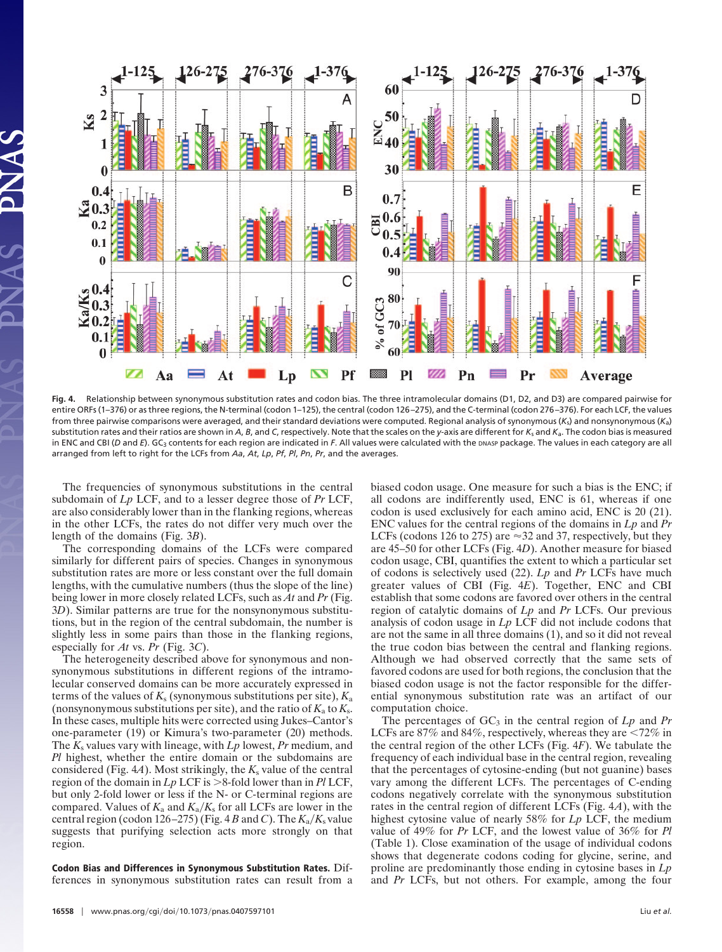

**Fig. 4.** Relationship between synonymous substitution rates and codon bias. The three intramolecular domains (D1, D2, and D3) are compared pairwise for entire ORFs (1–376) or as three regions, the N-terminal (codon 1–125), the central (codon 126 –275), and the C-terminal (codon 276 –376). For each LCF,the values from three pairwise comparisons were averaged, and their standard deviations were computed. Regional analysis of synonymous (*K*s) and nonsynonymous (*K*a) substitution rates and their ratios are shown in *A*, *B*, and *C*, respectively. Note that the scales on the *y*-axis are different for *K*<sup>s</sup> and *K*a. The codon bias is measured in ENC and CBI (*D* and *E*). GC<sub>3</sub> contents for each region are indicated in *F*. All values were calculated with the DNASP package. The values in each category are all arranged from left to right for the LCFs from *Aa*, *At*, *Lp*, *Pf*, *Pl*, *Pn*, *Pr*, and the averages.

The frequencies of synonymous substitutions in the central subdomain of *Lp* LCF, and to a lesser degree those of *Pr* LCF, are also considerably lower than in the flanking regions, whereas in the other LCFs, the rates do not differ very much over the length of the domains (Fig. 3*B*).

The corresponding domains of the LCFs were compared similarly for different pairs of species. Changes in synonymous substitution rates are more or less constant over the full domain lengths, with the cumulative numbers (thus the slope of the line) being lower in more closely related LCFs, such as *At* and *Pr* (Fig. 3*D*). Similar patterns are true for the nonsynonymous substitutions, but in the region of the central subdomain, the number is slightly less in some pairs than those in the flanking regions, especially for *At* vs. *Pr* (Fig. 3*C*).

The heterogeneity described above for synonymous and nonsynonymous substitutions in different regions of the intramolecular conserved domains can be more accurately expressed in terms of the values of  $K_s$  (synonymous substitutions per site),  $K_a$ (nonsynonymous substitutions per site), and the ratio of  $K_a$  to  $K_s$ . In these cases, multiple hits were corrected using Jukes–Cantor's one-parameter (19) or Kimura's two-parameter (20) methods. The *K*<sup>s</sup> values vary with lineage, with *Lp* lowest, *Pr* medium, and *Pl* highest, whether the entire domain or the subdomains are considered (Fig.  $4A$ ). Most strikingly, the  $K_s$  value of the central region of the domain in  $L_p$  LCF is  $>8$ -fold lower than in *Pl* LCF, but only 2-fold lower or less if the N- or C-terminal regions are compared. Values of  $K_a$  and  $K_a/K_s$  for all LCFs are lower in the central region (codon 126–275) (Fig. 4 *B* and *C*). The  $K_a/K_s$  value suggests that purifying selection acts more strongly on that region.

**Codon Bias and Differences in Synonymous Substitution Rates.** Differences in synonymous substitution rates can result from a biased codon usage. One measure for such a bias is the ENC; if all codons are indifferently used, ENC is 61, whereas if one codon is used exclusively for each amino acid, ENC is 20 (21). ENC values for the central regions of the domains in *Lp* and *Pr* LCFs (codons 126 to 275) are  $\approx$  32 and 37, respectively, but they are 45–50 for other LCFs (Fig. 4*D*). Another measure for biased codon usage, CBI, quantifies the extent to which a particular set of codons is selectively used (22). *Lp* and *Pr* LCFs have much greater values of CBI (Fig. 4*E*). Together, ENC and CBI establish that some codons are favored over others in the central region of catalytic domains of *Lp* and *Pr* LCFs. Our previous analysis of codon usage in *Lp* LCF did not include codons that are not the same in all three domains (1), and so it did not reveal the true codon bias between the central and flanking regions. Although we had observed correctly that the same sets of favored codons are used for both regions, the conclusion that the biased codon usage is not the factor responsible for the differential synonymous substitution rate was an artifact of our computation choice.

The percentages of  $GC_3$  in the central region of  $L_p$  and  $Pr$ LCFs are  $87\%$  and  $84\%$ , respectively, whereas they are  $\leq 72\%$  in the central region of the other LCFs (Fig. 4*F*). We tabulate the frequency of each individual base in the central region, revealing that the percentages of cytosine-ending (but not guanine) bases vary among the different LCFs. The percentages of C-ending codons negatively correlate with the synonymous substitution rates in the central region of different LCFs (Fig. 4*A*), with the highest cytosine value of nearly 58% for *Lp* LCF, the medium value of 49% for *Pr* LCF, and the lowest value of 36% for *Pl* (Table 1). Close examination of the usage of individual codons shows that degenerate codons coding for glycine, serine, and proline are predominantly those ending in cytosine bases in *Lp* and *Pr* LCFs, but not others. For example, among the four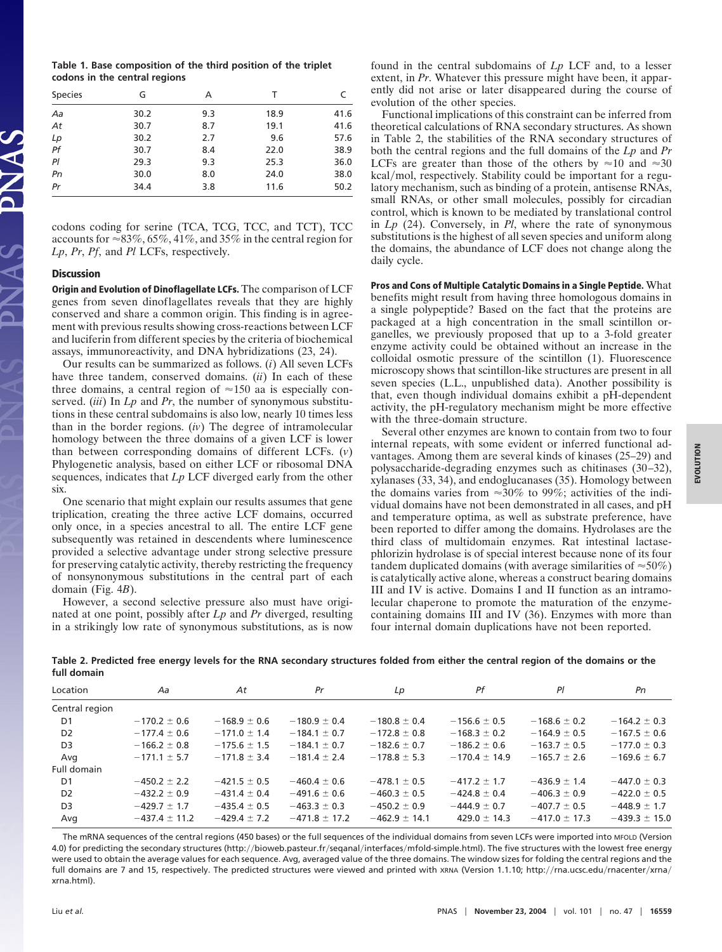**Table 1. Base composition of the third position of the triplet codons in the central regions**

| <b>Species</b> | G    | А   | т    |      |
|----------------|------|-----|------|------|
| Aa             | 30.2 | 9.3 | 18.9 | 41.6 |
| At             | 30.7 | 8.7 | 19.1 | 41.6 |
|                | 30.2 | 2.7 | 9.6  | 57.6 |
| Lp<br>Pf       | 30.7 | 8.4 | 22.0 | 38.9 |
| Pl             | 29.3 | 9.3 | 25.3 | 36.0 |
| Pn             | 30.0 | 8.0 | 24.0 | 38.0 |
| Pr             | 34.4 | 3.8 | 11.6 | 50.2 |

codons coding for serine (TCA, TCG, TCC, and TCT), TCC accounts for  $\approx 83\%, 65\%, 41\%,$  and 35% in the central region for *Lp*, *Pr*, *Pf*, and *Pl* LCFs, respectively.

## **Discussion**

**Origin and Evolution of Dinoflagellate LCFs.** The comparison of LCF genes from seven dinoflagellates reveals that they are highly conserved and share a common origin. This finding is in agreement with previous results showing cross-reactions between LCF and luciferin from different species by the criteria of biochemical assays, immunoreactivity, and DNA hybridizations (23, 24).

Our results can be summarized as follows. (*i*) All seven LCFs have three tandem, conserved domains. (*ii*) In each of these three domains, a central region of  $\approx 150$  aa is especially conserved. (*iii*) In *Lp* and *Pr*, the number of synonymous substitutions in these central subdomains is also low, nearly 10 times less than in the border regions. (*iv*) The degree of intramolecular homology between the three domains of a given LCF is lower than between corresponding domains of different LCFs. (*v*) Phylogenetic analysis, based on either LCF or ribosomal DNA sequences, indicates that *Lp* LCF diverged early from the other six.

One scenario that might explain our results assumes that gene triplication, creating the three active LCF domains, occurred only once, in a species ancestral to all. The entire LCF gene subsequently was retained in descendents where luminescence provided a selective advantage under strong selective pressure for preserving catalytic activity, thereby restricting the frequency of nonsynonymous substitutions in the central part of each domain (Fig. 4*B*).

However, a second selective pressure also must have originated at one point, possibly after *Lp* and *Pr* diverged, resulting in a strikingly low rate of synonymous substitutions, as is now found in the central subdomains of *Lp* LCF and, to a lesser extent, in *Pr*. Whatever this pressure might have been, it apparently did not arise or later disappeared during the course of evolution of the other species.

Functional implications of this constraint can be inferred from theoretical calculations of RNA secondary structures. As shown in Table 2, the stabilities of the RNA secondary structures of both the central regions and the full domains of the *Lp* and *Pr* LCFs are greater than those of the others by  $\approx 10$  and  $\approx 30$ kcal/mol, respectively. Stability could be important for a regulatory mechanism, such as binding of a protein, antisense RNAs, small RNAs, or other small molecules, possibly for circadian control, which is known to be mediated by translational control in *Lp* (24). Conversely, in *Pl*, where the rate of synonymous substitutions is the highest of all seven species and uniform along the domains, the abundance of LCF does not change along the daily cycle.

**Pros and Cons of Multiple Catalytic Domains in a Single Peptide.** What benefits might result from having three homologous domains in a single polypeptide? Based on the fact that the proteins are packaged at a high concentration in the small scintillon organelles, we previously proposed that up to a 3-fold greater enzyme activity could be obtained without an increase in the colloidal osmotic pressure of the scintillon (1). Fluorescence microscopy shows that scintillon-like structures are present in all seven species (L.L., unpublished data). Another possibility is that, even though individual domains exhibit a pH-dependent activity, the pH-regulatory mechanism might be more effective with the three-domain structure.

Several other enzymes are known to contain from two to four internal repeats, with some evident or inferred functional advantages. Among them are several kinds of kinases (25–29) and polysaccharide-degrading enzymes such as chitinases (30–32), xylanases (33, 34), and endoglucanases (35). Homology between the domains varies from  $\approx 30\%$  to 99%; activities of the individual domains have not been demonstrated in all cases, and pH and temperature optima, as well as substrate preference, have been reported to differ among the domains. Hydrolases are the third class of multidomain enzymes. Rat intestinal lactasephlorizin hydrolase is of special interest because none of its four tandem duplicated domains (with average similarities of  $\approx 50\%)$ ) is catalytically active alone, whereas a construct bearing domains III and IV is active. Domains I and II function as an intramolecular chaperone to promote the maturation of the enzymecontaining domains III and IV (36). Enzymes with more than four internal domain duplications have not been reported.

**Table 2. Predicted free energy levels for the RNA secondary structures folded from either the central region of the domains or the full domain**

| Location       | Aa                | At               | Pr                | Lp                | Ρf               | Ρl                | Pn                |
|----------------|-------------------|------------------|-------------------|-------------------|------------------|-------------------|-------------------|
| Central region |                   |                  |                   |                   |                  |                   |                   |
| D1             | $-170.2 \pm 0.6$  | $-168.9 \pm 0.6$ | $-180.9 \pm 0.4$  | $-180.8 \pm 0.4$  | $-156.6 \pm 0.5$ | $-168.6 \pm 0.2$  | $-164.2 \pm 0.3$  |
| D <sub>2</sub> | $-177.4 \pm 0.6$  | $-171.0 \pm 1.4$ | $-184.1 \pm 0.7$  | $-172.8 \pm 0.8$  | $-168.3 \pm 0.2$ | $-164.9 \pm 0.5$  | $-167.5 \pm 0.6$  |
| D <sub>3</sub> | $-166.2 \pm 0.8$  | $-175.6 + 1.5$   | $-184.1 + 0.7$    | $-182.6 + 0.7$    | $-186.2 + 0.6$   | $-163.7 + 0.5$    | $-177.0 \pm 0.3$  |
| Avg            | $-171.1 \pm 5.7$  | $-171.8 \pm 3.4$ | $-181.4 \pm 2.4$  | $-178.8 \pm 5.3$  | $-170.4 + 14.9$  | $-165.7 \pm 2.6$  | $-169.6 \pm 6.7$  |
| Full domain    |                   |                  |                   |                   |                  |                   |                   |
| D <sub>1</sub> | $-450.2 \pm 2.2$  | $-421.5 \pm 0.5$ | $-460.4 \pm 0.6$  | $-478.1 \pm 0.5$  | $-417.2 + 1.7$   | $-436.9 \pm 1.4$  | $-447.0 \pm 0.3$  |
| D <sub>2</sub> | $-432.2 \pm 0.9$  | $-431.4 \pm 0.4$ | $-491.6 \pm 0.6$  | $-460.3 \pm 0.5$  | $-424.8 \pm 0.4$ | $-406.3 \pm 0.9$  | $-422.0 \pm 0.5$  |
| D <sub>3</sub> | $-429.7 \pm 1.7$  | $-435.4 \pm 0.5$ | $-463.3 \pm 0.3$  | $-450.2 \pm 0.9$  | $-444.9 \pm 0.7$ | $-407.7 \pm 0.5$  | $-448.9 \pm 1.7$  |
| Avg            | $-437.4 \pm 11.2$ | $-429.4 \pm 7.2$ | $-471.8 \pm 17.2$ | $-462.9 \pm 14.1$ | $429.0 \pm 14.3$ | $-417.0 \pm 17.3$ | $-439.3 \pm 15.0$ |

The mRNA sequences of the central regions (450 bases) or the full sequences of the individual domains from seven LCFs were imported into MFOLD (Version 4.0) for predicting the secondary structures (http://bioweb.pasteur.fr/seqanal/interfaces/mfold-simple.html). The five structures with the lowest free energy were used to obtain the average values for each sequence. Avg, averaged value of the three domains. The window sizes for folding the central regions and the full domains are 7 and 15, respectively. The predicted structures were viewed and printed with xRNA (Version 1.1.10; http://rna.ucsc.edu/rnacenter/xrna/ xrna.html).